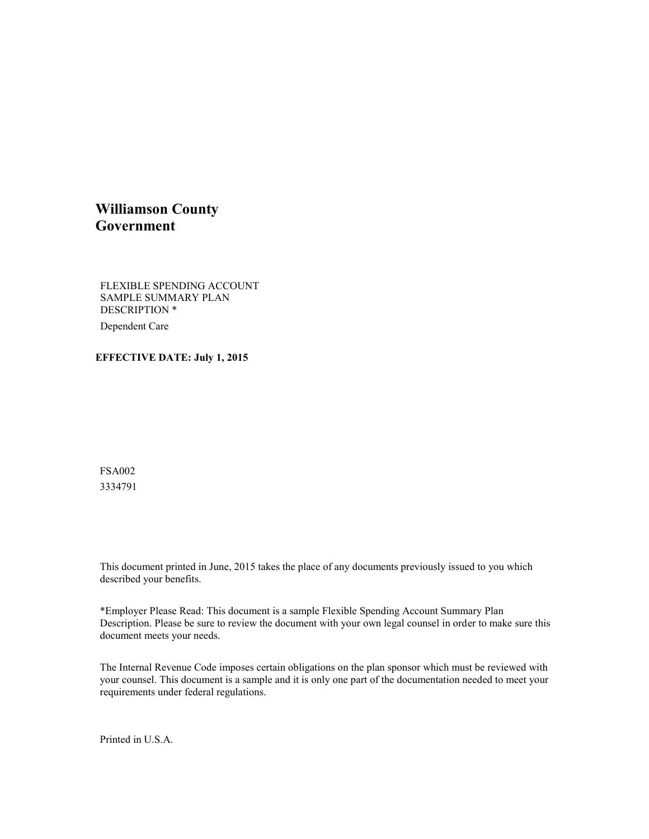### **Williamson County Government**

FLEXIBLE SPENDING ACCOUNT SAMPLE SUMMARY PLAN DESCRIPTION \* Dependent Care

#### **EFFECTIVE DATE: July 1, 2015**

FSA002 3334791

This document printed in June, 2015 takes the place of any documents previously issued to you which described your benefits.

\*Employer Please Read: This document is a sample Flexible Spending Account Summary Plan Description. Please be sure to review the document with your own legal counsel in order to make sure this document meets your needs.

The Internal Revenue Code imposes certain obligations on the plan sponsor which must be reviewed with your counsel. This document is a sample and it is only one part of the documentation needed to meet your requirements under federal regulations.

Printed in U.S.A.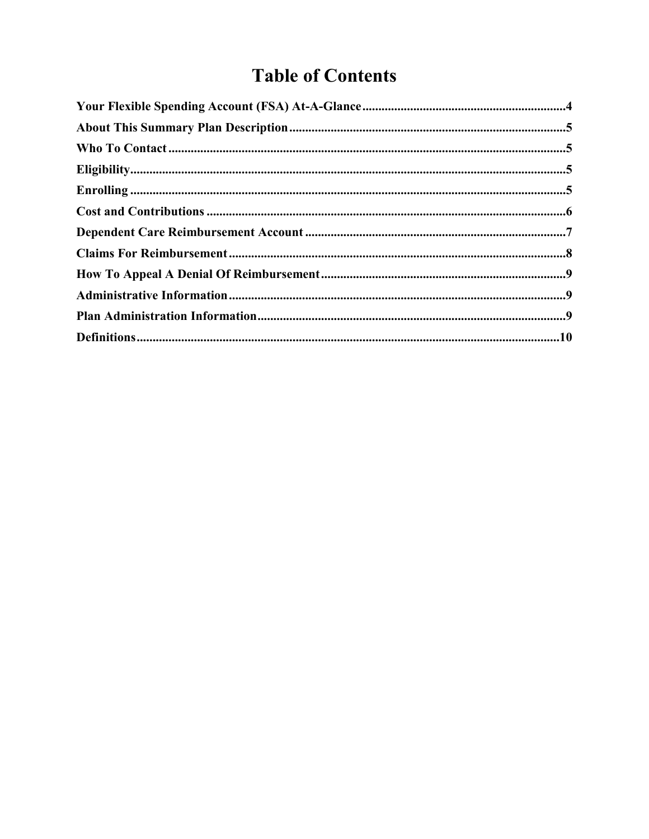# **Table of Contents**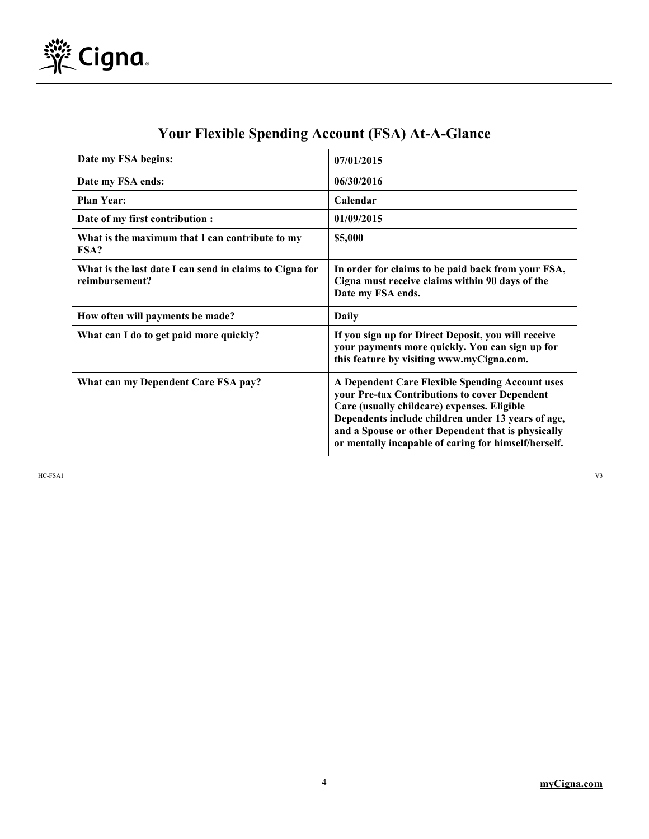

 $\mathsf{l}$ 

| <b>Your Flexible Spending Account (FSA) At-A-Glance</b>                   |                                                                                                                                                                                                                                                                                                                     |  |
|---------------------------------------------------------------------------|---------------------------------------------------------------------------------------------------------------------------------------------------------------------------------------------------------------------------------------------------------------------------------------------------------------------|--|
| Date my FSA begins:                                                       | 07/01/2015                                                                                                                                                                                                                                                                                                          |  |
| Date my FSA ends:                                                         | 06/30/2016                                                                                                                                                                                                                                                                                                          |  |
| <b>Plan Year:</b>                                                         | Calendar                                                                                                                                                                                                                                                                                                            |  |
| Date of my first contribution :                                           | 01/09/2015                                                                                                                                                                                                                                                                                                          |  |
| What is the maximum that I can contribute to my<br>FSA?                   | \$5,000                                                                                                                                                                                                                                                                                                             |  |
| What is the last date I can send in claims to Cigna for<br>reimbursement? | In order for claims to be paid back from your FSA,<br>Cigna must receive claims within 90 days of the<br>Date my FSA ends.                                                                                                                                                                                          |  |
| How often will payments be made?                                          | Daily                                                                                                                                                                                                                                                                                                               |  |
| What can I do to get paid more quickly?                                   | If you sign up for Direct Deposit, you will receive<br>your payments more quickly. You can sign up for<br>this feature by visiting www.myCigna.com.                                                                                                                                                                 |  |
| What can my Dependent Care FSA pay?                                       | A Dependent Care Flexible Spending Account uses<br>your Pre-tax Contributions to cover Dependent<br>Care (usually childcare) expenses. Eligible<br>Dependents include children under 13 years of age,<br>and a Spouse or other Dependent that is physically<br>or mentally incapable of caring for himself/herself. |  |

HC-FSA1 V3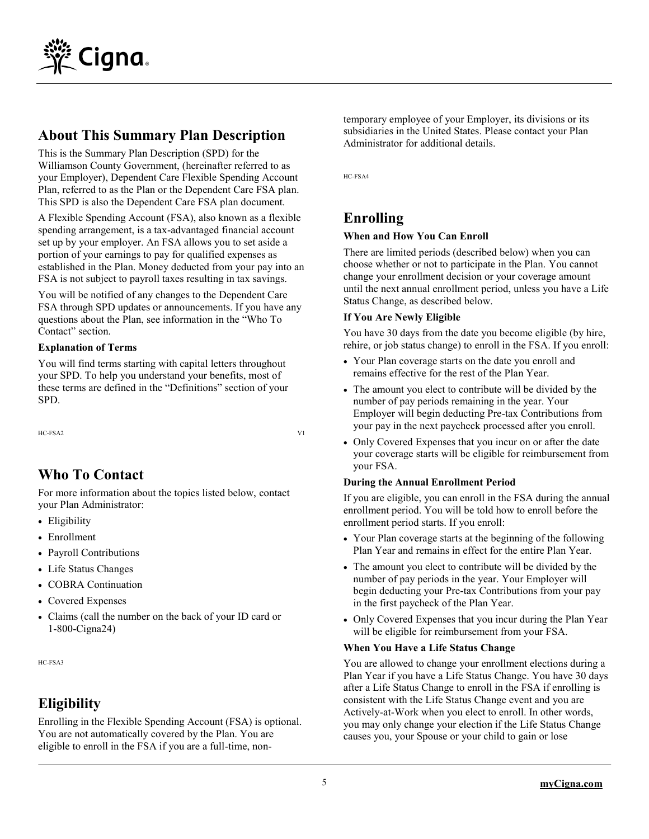

# **About This Summary Plan Description**

This is the Summary Plan Description (SPD) for the Williamson County Government, (hereinafter referred to as your Employer), Dependent Care Flexible Spending Account Plan, referred to as the Plan or the Dependent Care FSA plan. This SPD is also the Dependent Care FSA plan document.

A Flexible Spending Account (FSA), also known as a flexible spending arrangement, is a tax-advantaged financial account set up by your employer. An FSA allows you to set aside a portion of your earnings to pay for qualified expenses as established in the Plan. Money deducted from your pay into an FSA is not subject to payroll taxes resulting in tax savings.

You will be notified of any changes to the Dependent Care FSA through SPD updates or announcements. If you have any questions about the Plan, see information in the "Who To Contact" section.

#### **Explanation of Terms**

You will find terms starting with capital letters throughout your SPD. To help you understand your benefits, most of these terms are defined in the "Definitions" section of your SPD.

HC-FSA2 V1

# **Who To Contact**

For more information about the topics listed below, contact your Plan Administrator:

- Eligibility
- Enrollment
- Payroll Contributions
- Life Status Changes
- COBRA Continuation
- Covered Expenses
- Claims (call the number on the back of your ID card or 1-800-Cigna24)

HC-FSA3

# **Eligibility**

Enrolling in the Flexible Spending Account (FSA) is optional. You are not automatically covered by the Plan. You are eligible to enroll in the FSA if you are a full-time, nontemporary employee of your Employer, its divisions or its subsidiaries in the United States. Please contact your Plan Administrator for additional details.

HC-FSA4

# **Enrolling**

### **When and How You Can Enroll**

There are limited periods (described below) when you can choose whether or not to participate in the Plan. You cannot change your enrollment decision or your coverage amount until the next annual enrollment period, unless you have a Life Status Change, as described below.

### **If You Are Newly Eligible**

You have 30 days from the date you become eligible (by hire, rehire, or job status change) to enroll in the FSA. If you enroll:

- Your Plan coverage starts on the date you enroll and remains effective for the rest of the Plan Year.
- The amount you elect to contribute will be divided by the number of pay periods remaining in the year. Your Employer will begin deducting Pre-tax Contributions from your pay in the next paycheck processed after you enroll.
- Only Covered Expenses that you incur on or after the date your coverage starts will be eligible for reimbursement from your FSA.

### **During the Annual Enrollment Period**

If you are eligible, you can enroll in the FSA during the annual enrollment period. You will be told how to enroll before the enrollment period starts. If you enroll:

- Your Plan coverage starts at the beginning of the following Plan Year and remains in effect for the entire Plan Year.
- The amount you elect to contribute will be divided by the number of pay periods in the year. Your Employer will begin deducting your Pre-tax Contributions from your pay in the first paycheck of the Plan Year.
- Only Covered Expenses that you incur during the Plan Year will be eligible for reimbursement from your FSA.

### **When You Have a Life Status Change**

You are allowed to change your enrollment elections during a Plan Year if you have a Life Status Change. You have 30 days after a Life Status Change to enroll in the FSA if enrolling is consistent with the Life Status Change event and you are Actively-at-Work when you elect to enroll. In other words, you may only change your election if the Life Status Change causes you, your Spouse or your child to gain or lose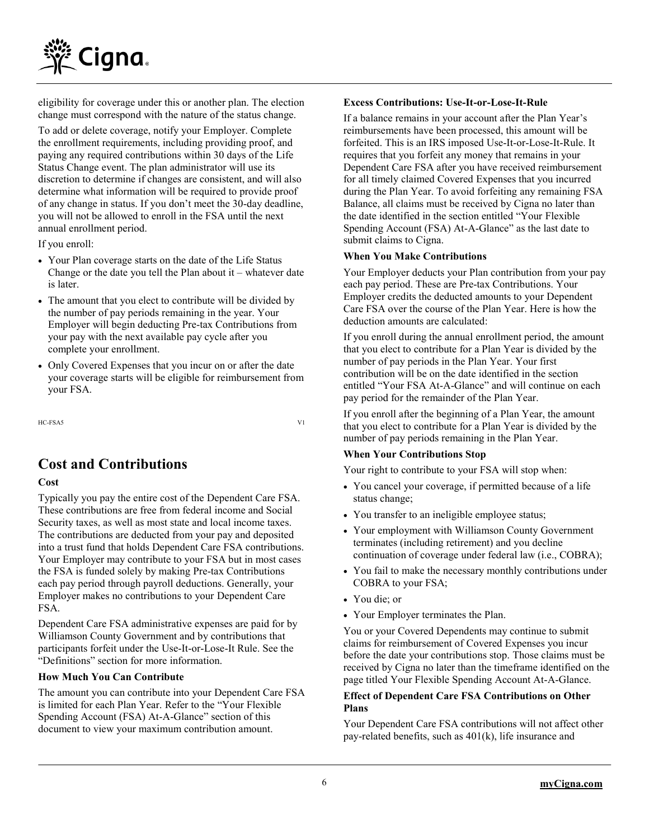

eligibility for coverage under this or another plan. The election change must correspond with the nature of the status change.

To add or delete coverage, notify your Employer. Complete the enrollment requirements, including providing proof, and paying any required contributions within 30 days of the Life Status Change event. The plan administrator will use its discretion to determine if changes are consistent, and will also determine what information will be required to provide proof of any change in status. If you don't meet the 30-day deadline, you will not be allowed to enroll in the FSA until the next annual enrollment period.

If you enroll:

- Your Plan coverage starts on the date of the Life Status Change or the date you tell the Plan about it – whatever date is later.
- The amount that you elect to contribute will be divided by the number of pay periods remaining in the year. Your Employer will begin deducting Pre-tax Contributions from your pay with the next available pay cycle after you complete your enrollment.
- Only Covered Expenses that you incur on or after the date your coverage starts will be eligible for reimbursement from your FSA.

HC-FSA5 V1

# **Cost and Contributions**

#### **Cost**

Typically you pay the entire cost of the Dependent Care FSA. These contributions are free from federal income and Social Security taxes, as well as most state and local income taxes. The contributions are deducted from your pay and deposited into a trust fund that holds Dependent Care FSA contributions. Your Employer may contribute to your FSA but in most cases the FSA is funded solely by making Pre-tax Contributions each pay period through payroll deductions. Generally, your Employer makes no contributions to your Dependent Care FSA.

Dependent Care FSA administrative expenses are paid for by Williamson County Government and by contributions that participants forfeit under the Use-It-or-Lose-It Rule. See the "Definitions" section for more information.

#### **How Much You Can Contribute**

The amount you can contribute into your Dependent Care FSA is limited for each Plan Year. Refer to the "Your Flexible Spending Account (FSA) At-A-Glance" section of this document to view your maximum contribution amount.

#### **Excess Contributions: Use-It-or-Lose-It-Rule**

If a balance remains in your account after the Plan Year's reimbursements have been processed, this amount will be forfeited. This is an IRS imposed Use-It-or-Lose-It-Rule. It requires that you forfeit any money that remains in your Dependent Care FSA after you have received reimbursement for all timely claimed Covered Expenses that you incurred during the Plan Year. To avoid forfeiting any remaining FSA Balance, all claims must be received by Cigna no later than the date identified in the section entitled "Your Flexible Spending Account (FSA) At-A-Glance" as the last date to submit claims to Cigna.

#### **When You Make Contributions**

Your Employer deducts your Plan contribution from your pay each pay period. These are Pre-tax Contributions. Your Employer credits the deducted amounts to your Dependent Care FSA over the course of the Plan Year. Here is how the deduction amounts are calculated:

If you enroll during the annual enrollment period, the amount that you elect to contribute for a Plan Year is divided by the number of pay periods in the Plan Year. Your first contribution will be on the date identified in the section entitled "Your FSA At-A-Glance" and will continue on each pay period for the remainder of the Plan Year.

If you enroll after the beginning of a Plan Year, the amount that you elect to contribute for a Plan Year is divided by the number of pay periods remaining in the Plan Year.

### **When Your Contributions Stop**

Your right to contribute to your FSA will stop when:

- You cancel your coverage, if permitted because of a life status change;
- You transfer to an ineligible employee status;
- Your employment with Williamson County Government terminates (including retirement) and you decline continuation of coverage under federal law (i.e., COBRA);
- You fail to make the necessary monthly contributions under COBRA to your FSA;
- You die; or
- Your Employer terminates the Plan.

You or your Covered Dependents may continue to submit claims for reimbursement of Covered Expenses you incur before the date your contributions stop. Those claims must be received by Cigna no later than the timeframe identified on the page titled Your Flexible Spending Account At-A-Glance.

#### **Effect of Dependent Care FSA Contributions on Other Plans**

Your Dependent Care FSA contributions will not affect other pay-related benefits, such as 401(k), life insurance and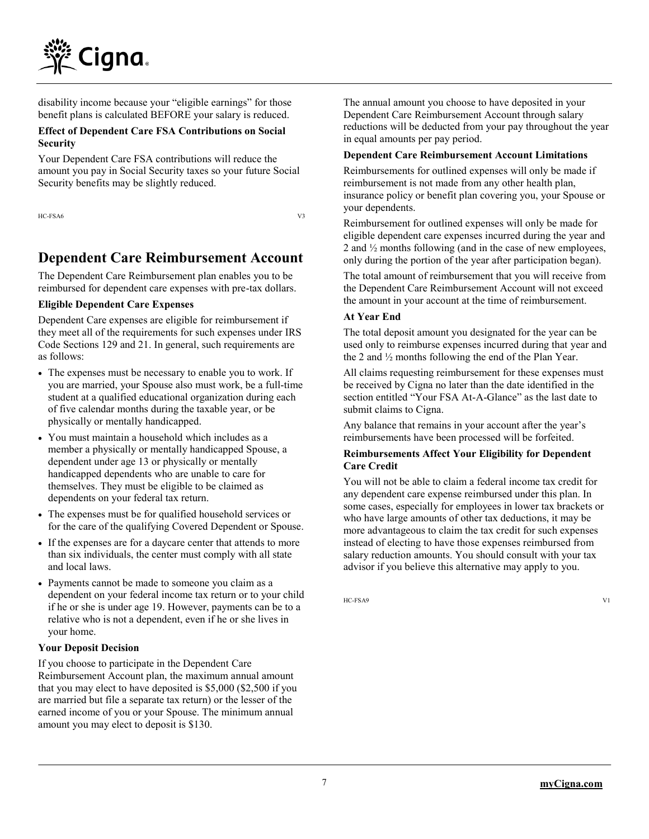

disability income because your "eligible earnings" for those benefit plans is calculated BEFORE your salary is reduced.

#### **Effect of Dependent Care FSA Contributions on Social Security**

Your Dependent Care FSA contributions will reduce the amount you pay in Social Security taxes so your future Social Security benefits may be slightly reduced.

HC-FSA6 V3

# **Dependent Care Reimbursement Account**

The Dependent Care Reimbursement plan enables you to be reimbursed for dependent care expenses with pre-tax dollars.

#### **Eligible Dependent Care Expenses**

Dependent Care expenses are eligible for reimbursement if they meet all of the requirements for such expenses under IRS Code Sections 129 and 21. In general, such requirements are as follows:

- The expenses must be necessary to enable you to work. If you are married, your Spouse also must work, be a full-time student at a qualified educational organization during each of five calendar months during the taxable year, or be physically or mentally handicapped.
- You must maintain a household which includes as a member a physically or mentally handicapped Spouse, a dependent under age 13 or physically or mentally handicapped dependents who are unable to care for themselves. They must be eligible to be claimed as dependents on your federal tax return.
- The expenses must be for qualified household services or for the care of the qualifying Covered Dependent or Spouse.
- If the expenses are for a daycare center that attends to more than six individuals, the center must comply with all state and local laws.
- Payments cannot be made to someone you claim as a dependent on your federal income tax return or to your child if he or she is under age 19. However, payments can be to a relative who is not a dependent, even if he or she lives in your home.

#### **Your Deposit Decision**

If you choose to participate in the Dependent Care Reimbursement Account plan, the maximum annual amount that you may elect to have deposited is \$5,000 (\$2,500 if you are married but file a separate tax return) or the lesser of the earned income of you or your Spouse. The minimum annual amount you may elect to deposit is \$130.

The annual amount you choose to have deposited in your Dependent Care Reimbursement Account through salary reductions will be deducted from your pay throughout the year in equal amounts per pay period.

### **Dependent Care Reimbursement Account Limitations**

Reimbursements for outlined expenses will only be made if reimbursement is not made from any other health plan, insurance policy or benefit plan covering you, your Spouse or your dependents.

Reimbursement for outlined expenses will only be made for eligible dependent care expenses incurred during the year and 2 and ½ months following (and in the case of new employees, only during the portion of the year after participation began).

The total amount of reimbursement that you will receive from the Dependent Care Reimbursement Account will not exceed the amount in your account at the time of reimbursement.

#### **At Year End**

The total deposit amount you designated for the year can be used only to reimburse expenses incurred during that year and the 2 and ½ months following the end of the Plan Year.

All claims requesting reimbursement for these expenses must be received by Cigna no later than the date identified in the section entitled "Your FSA At-A-Glance" as the last date to submit claims to Cigna.

Any balance that remains in your account after the year's reimbursements have been processed will be forfeited.

#### **Reimbursements Affect Your Eligibility for Dependent Care Credit**

You will not be able to claim a federal income tax credit for any dependent care expense reimbursed under this plan. In some cases, especially for employees in lower tax brackets or who have large amounts of other tax deductions, it may be more advantageous to claim the tax credit for such expenses instead of electing to have those expenses reimbursed from salary reduction amounts. You should consult with your tax advisor if you believe this alternative may apply to you.

HC-FSA9 V1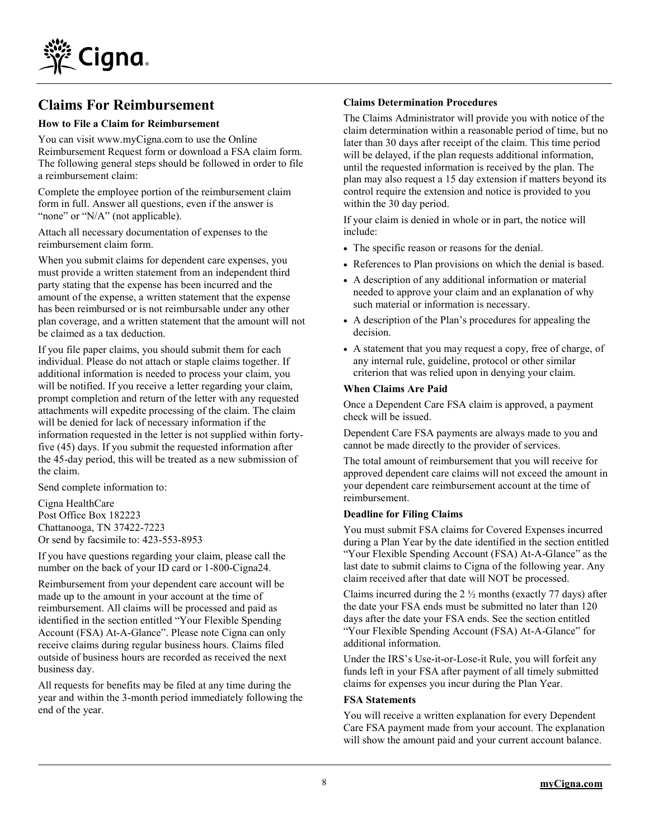

### **Claims For Reimbursement**

#### **How to File a Claim for Reimbursement**

You can visit www[.myCigna.com](http://mycigna.com/) to use the Online Reimbursement Request form or download a FSA claim form. The following general steps should be followed in order to file a reimbursement claim:

Complete the employee portion of the reimbursement claim form in full. Answer all questions, even if the answer is "none" or "N/A" (not applicable).

Attach all necessary documentation of expenses to the reimbursement claim form.

When you submit claims for dependent care expenses, you must provide a written statement from an independent third party stating that the expense has been incurred and the amount of the expense, a written statement that the expense has been reimbursed or is not reimbursable under any other plan coverage, and a written statement that the amount will not be claimed as a tax deduction.

If you file paper claims, you should submit them for each individual. Please do not attach or staple claims together. If additional information is needed to process your claim, you will be notified. If you receive a letter regarding your claim, prompt completion and return of the letter with any requested attachments will expedite processing of the claim. The claim will be denied for lack of necessary information if the information requested in the letter is not supplied within fortyfive (45) days. If you submit the requested information after the 45-day period, this will be treated as a new submission of the claim.

Send complete information to:

Cigna HealthCare Post Office Box 182223 Chattanooga, TN 37422-7223 Or send by facsimile to: 423-553-8953

If you have questions regarding your claim, please call the number on the back of your ID card or 1-800-Cigna24.

Reimbursement from your dependent care account will be made up to the amount in your account at the time of reimbursement. All claims will be processed and paid as identified in the section entitled "Your Flexible Spending Account (FSA) At-A-Glance". Please note Cigna can only receive claims during regular business hours. Claims filed outside of business hours are recorded as received the next business day.

All requests for benefits may be filed at any time during the year and within the 3-month period immediately following the end of the year.

#### **Claims Determination Procedures**

The Claims Administrator will provide you with notice of the claim determination within a reasonable period of time, but no later than 30 days after receipt of the claim. This time period will be delayed, if the plan requests additional information, until the requested information is received by the plan. The plan may also request a 15 day extension if matters beyond its control require the extension and notice is provided to you within the 30 day period.

If your claim is denied in whole or in part, the notice will include:

- The specific reason or reasons for the denial.
- References to Plan provisions on which the denial is based.
- A description of any additional information or material needed to approve your claim and an explanation of why such material or information is necessary.
- A description of the Plan's procedures for appealing the decision.
- A statement that you may request a copy, free of charge, of any internal rule, guideline, protocol or other similar criterion that was relied upon in denying your claim.

#### **When Claims Are Paid**

Once a Dependent Care FSA claim is approved, a payment check will be issued.

Dependent Care FSA payments are always made to you and cannot be made directly to the provider of services.

The total amount of reimbursement that you will receive for approved dependent care claims will not exceed the amount in your dependent care reimbursement account at the time of reimbursement.

#### **Deadline for Filing Claims**

You must submit FSA claims for Covered Expenses incurred during a Plan Year by the date identified in the section entitled "Your Flexible Spending Account (FSA) At-A-Glance" as the last date to submit claims to Cigna of the following year. Any claim received after that date will NOT be processed.

Claims incurred during the  $2\frac{1}{2}$  months (exactly 77 days) after the date your FSA ends must be submitted no later than 120 days after the date your FSA ends. See the section entitled "Your Flexible Spending Account (FSA) At-A-Glance" for additional information.

Under the IRS's Use-it-or-Lose-it Rule, you will forfeit any funds left in your FSA after payment of all timely submitted claims for expenses you incur during the Plan Year.

#### **FSA Statements**

You will receive a written explanation for every Dependent Care FSA payment made from your account. The explanation will show the amount paid and your current account balance.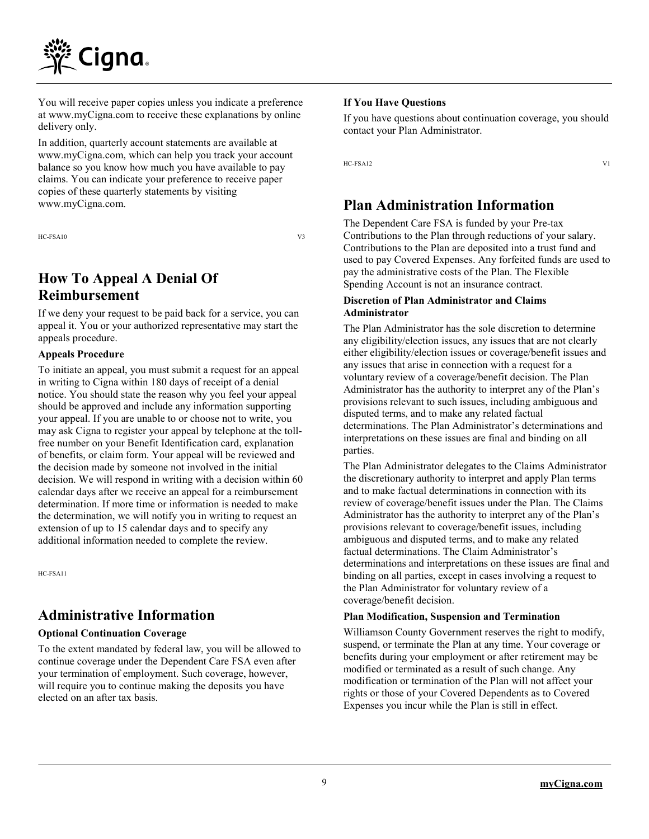

You will receive paper copies unless you indicate a preference at www.myCigna.com to receive these explanations by online delivery only.

In addition, quarterly account statements are available at www.myCigna.com, which can help you track your account balance so you know how much you have available to pay claims. You can indicate your preference to receive paper copies of these quarterly statements by visiting www.myCigna.com.

HC-FSA10 V3

# **How To Appeal A Denial Of Reimbursement**

If we deny your request to be paid back for a service, you can appeal it. You or your authorized representative may start the appeals procedure.

#### **Appeals Procedure**

To initiate an appeal, you must submit a request for an appeal in writing to Cigna within 180 days of receipt of a denial notice. You should state the reason why you feel your appeal should be approved and include any information supporting your appeal. If you are unable to or choose not to write, you may ask Cigna to register your appeal by telephone at the tollfree number on your Benefit Identification card, explanation of benefits, or claim form. Your appeal will be reviewed and the decision made by someone not involved in the initial decision. We will respond in writing with a decision within 60 calendar days after we receive an appeal for a reimbursement determination. If more time or information is needed to make the determination, we will notify you in writing to request an extension of up to 15 calendar days and to specify any additional information needed to complete the review.

HC-FSA11

### **Administrative Information**

#### **Optional Continuation Coverage**

To the extent mandated by federal law, you will be allowed to continue coverage under the Dependent Care FSA even after your termination of employment. Such coverage, however, will require you to continue making the deposits you have elected on an after tax basis.

#### **If You Have Questions**

If you have questions about continuation coverage, you should contact your Plan Administrator.

HC-FSA12 V1

# **Plan Administration Information**

The Dependent Care FSA is funded by your Pre-tax Contributions to the Plan through reductions of your salary. Contributions to the Plan are deposited into a trust fund and used to pay Covered Expenses. Any forfeited funds are used to pay the administrative costs of the Plan. The Flexible Spending Account is not an insurance contract.

#### **Discretion of Plan Administrator and Claims Administrator**

The Plan Administrator has the sole discretion to determine any eligibility/election issues, any issues that are not clearly either eligibility/election issues or coverage/benefit issues and any issues that arise in connection with a request for a voluntary review of a coverage/benefit decision. The Plan Administrator has the authority to interpret any of the Plan's provisions relevant to such issues, including ambiguous and disputed terms, and to make any related factual determinations. The Plan Administrator's determinations and interpretations on these issues are final and binding on all parties.

The Plan Administrator delegates to the Claims Administrator the discretionary authority to interpret and apply Plan terms and to make factual determinations in connection with its review of coverage/benefit issues under the Plan. The Claims Administrator has the authority to interpret any of the Plan's provisions relevant to coverage/benefit issues, including ambiguous and disputed terms, and to make any related factual determinations. The Claim Administrator's determinations and interpretations on these issues are final and binding on all parties, except in cases involving a request to the Plan Administrator for voluntary review of a coverage/benefit decision.

#### **Plan Modification, Suspension and Termination**

Williamson County Government reserves the right to modify, suspend, or terminate the Plan at any time. Your coverage or benefits during your employment or after retirement may be modified or terminated as a result of such change. Any modification or termination of the Plan will not affect your rights or those of your Covered Dependents as to Covered Expenses you incur while the Plan is still in effect.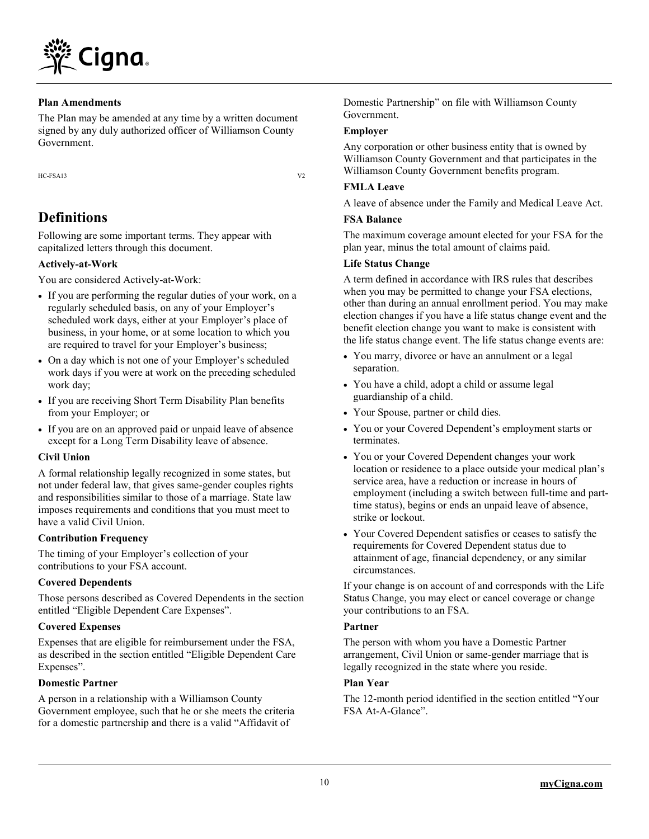

#### **Plan Amendments**

The Plan may be amended at any time by a written document signed by any duly authorized officer of Williamson County Government.

HC-FSA13 V2

# **Definitions**

Following are some important terms. They appear with capitalized letters through this document.

#### **Actively-at-Work**

You are considered Actively-at-Work:

- If you are performing the regular duties of your work, on a regularly scheduled basis, on any of your Employer's scheduled work days, either at your Employer's place of business, in your home, or at some location to which you are required to travel for your Employer's business;
- On a day which is not one of your Employer's scheduled work days if you were at work on the preceding scheduled work day;
- If you are receiving Short Term Disability Plan benefits from your Employer; or
- If you are on an approved paid or unpaid leave of absence except for a Long Term Disability leave of absence.

#### **Civil Union**

A formal relationship legally recognized in some states, but not under federal law, that gives same-gender couples rights and responsibilities similar to those of a marriage. State law imposes requirements and conditions that you must meet to have a valid Civil Union.

#### **Contribution Frequency**

The timing of your Employer's collection of your contributions to your FSA account.

#### **Covered Dependents**

Those persons described as Covered Dependents in the section entitled "Eligible Dependent Care Expenses".

#### **Covered Expenses**

Expenses that are eligible for reimbursement under the FSA, as described in the section entitled "Eligible Dependent Care Expenses".

#### **Domestic Partner**

A person in a relationship with a Williamson County Government employee, such that he or she meets the criteria for a domestic partnership and there is a valid "Affidavit of

Domestic Partnership" on file with Williamson County Government.

#### **Employer**

Any corporation or other business entity that is owned by Williamson County Government and that participates in the Williamson County Government benefits program.

#### **FMLA Leave**

A leave of absence under the Family and Medical Leave Act.

#### **FSA Balance**

The maximum coverage amount elected for your FSA for the plan year, minus the total amount of claims paid.

#### **Life Status Change**

A term defined in accordance with IRS rules that describes when you may be permitted to change your FSA elections, other than during an annual enrollment period. You may make election changes if you have a life status change event and the benefit election change you want to make is consistent with the life status change event. The life status change events are:

- You marry, divorce or have an annulment or a legal separation.
- You have a child, adopt a child or assume legal guardianship of a child.
- Your Spouse, partner or child dies.
- You or your Covered Dependent's employment starts or terminates.
- You or your Covered Dependent changes your work location or residence to a place outside your medical plan's service area, have a reduction or increase in hours of employment (including a switch between full-time and parttime status), begins or ends an unpaid leave of absence, strike or lockout.
- Your Covered Dependent satisfies or ceases to satisfy the requirements for Covered Dependent status due to attainment of age, financial dependency, or any similar circumstances.

If your change is on account of and corresponds with the Life Status Change, you may elect or cancel coverage or change your contributions to an FSA.

#### **Partner**

The person with whom you have a Domestic Partner arrangement, Civil Union or same-gender marriage that is legally recognized in the state where you reside.

#### **Plan Year**

The 12-month period identified in the section entitled "Your FSA At-A-Glance".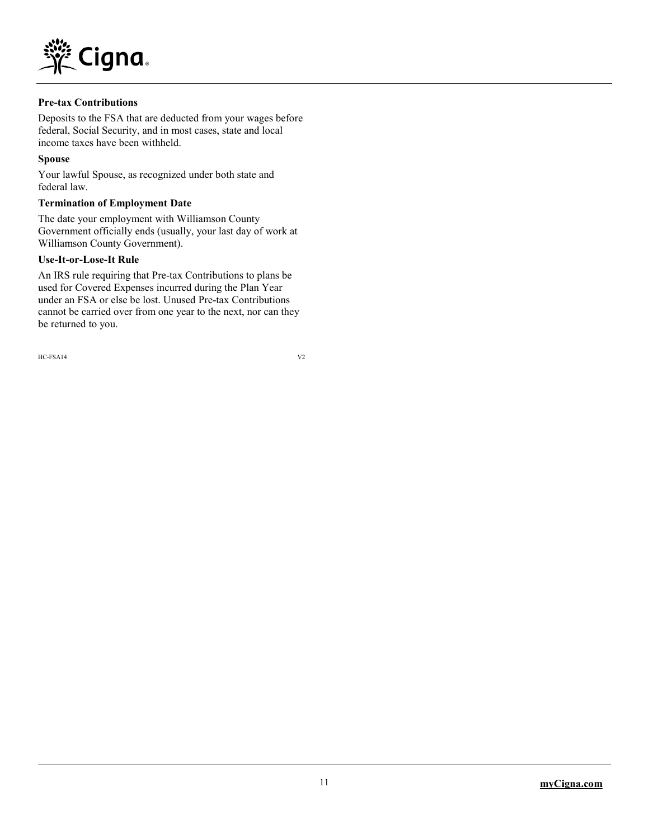

#### **Pre-tax Contributions**

Deposits to the FSA that are deducted from your wages before federal, Social Security, and in most cases, state and local income taxes have been withheld.

#### **Spouse**

Your lawful Spouse, as recognized under both state and federal law.

#### **Termination of Employment Date**

The date your employment with Williamson County Government officially ends (usually, your last day of work at Williamson County Government).

#### **Use-It-or-Lose-It Rule**

An IRS rule requiring that Pre-tax Contributions to plans be used for Covered Expenses incurred during the Plan Year under an FSA or else be lost. Unused Pre-tax Contributions cannot be carried over from one year to the next, nor can they be returned to you.

HC-FSA14 V2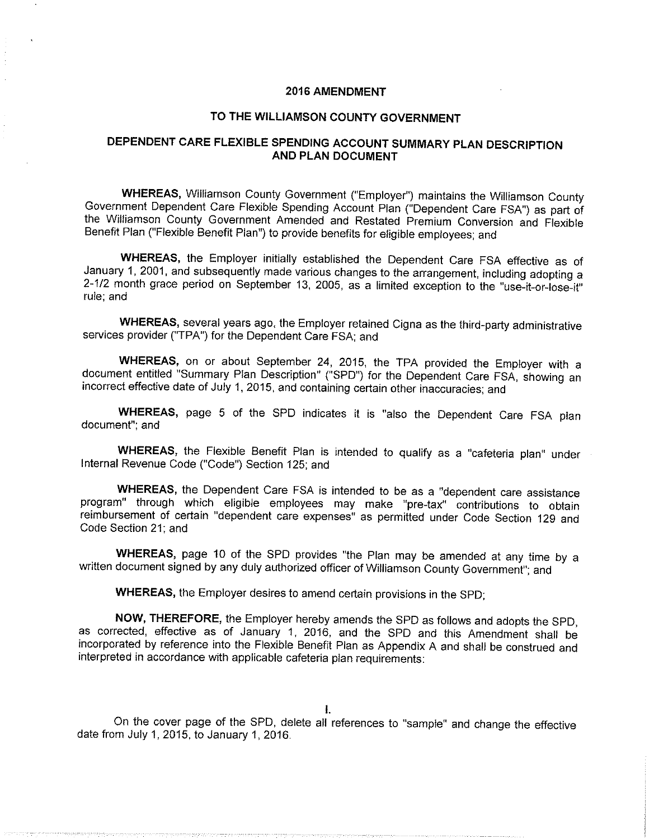#### **2016 AMENDMENT**

### TO THE WILLIAMSON COUNTY GOVERNMENT

### DEPENDENT CARE FLEXIBLE SPENDING ACCOUNT SUMMARY PLAN DESCRIPTION **AND PLAN DOCUMENT**

WHEREAS, Williamson County Government ("Employer") maintains the Williamson County Government Dependent Care Flexible Spending Account Plan ("Dependent Care FSA") as part of the Williamson County Government Amended and Restated Premium Conversion and Flexible Benefit Plan ("Flexible Benefit Plan") to provide benefits for eligible employees; and

WHEREAS, the Employer initially established the Dependent Care FSA effective as of January 1, 2001, and subsequently made various changes to the arrangement, including adopting a 2-1/2 month grace period on September 13, 2005, as a limited exception to the "use-it-or-lose-it" rule; and

WHEREAS, several years ago, the Employer retained Cigna as the third-party administrative services provider ("TPA") for the Dependent Care FSA; and

WHEREAS, on or about September 24, 2015, the TPA provided the Employer with a document entitled "Summary Plan Description" ("SPD") for the Dependent Care FSA, showing an incorrect effective date of July 1, 2015, and containing certain other inaccuracies; and

WHEREAS, page 5 of the SPD indicates it is "also the Dependent Care FSA plan document"; and

WHEREAS, the Flexible Benefit Plan is intended to qualify as a "cafeteria plan" under Internal Revenue Code ("Code") Section 125: and

WHEREAS, the Dependent Care FSA is intended to be as a "dependent care assistance program" through which eligible employees may make "pre-tax" contributions to obtain reimbursement of certain "dependent care expenses" as permitted under Code Section 129 and Code Section 21; and

WHEREAS, page 10 of the SPD provides "the Plan may be amended at any time by a written document signed by any duly authorized officer of Williamson County Government"; and

WHEREAS, the Employer desires to amend certain provisions in the SPD;

NOW, THEREFORE, the Employer hereby amends the SPD as follows and adopts the SPD. as corrected, effective as of January 1, 2016, and the SPD and this Amendment shall be incorporated by reference into the Flexible Benefit Plan as Appendix A and shall be construed and interpreted in accordance with applicable cafeteria plan requirements:

 $\mathbf{L}$ 

On the cover page of the SPD, delete all references to "sample" and change the effective date from July 1, 2015, to January 1, 2016.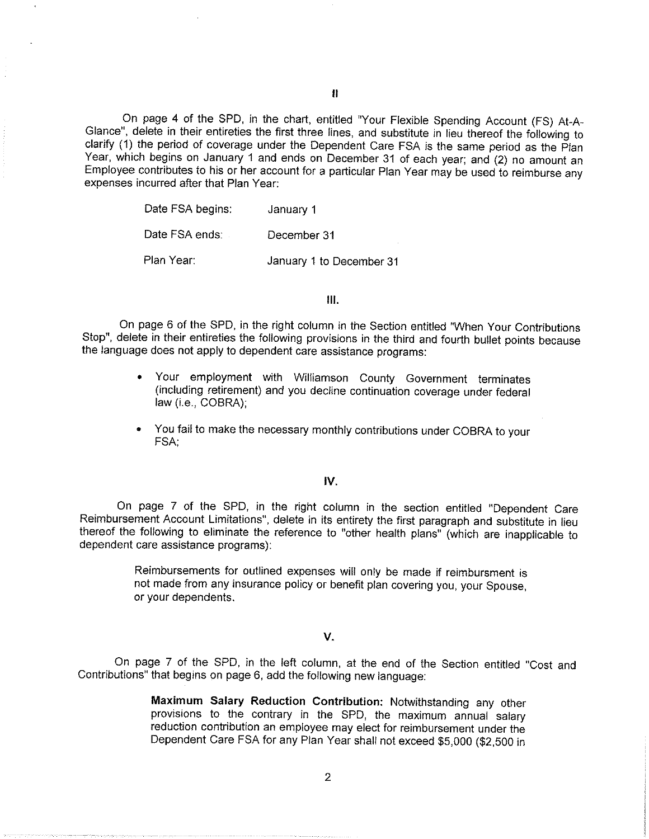On page 4 of the SPD, in the chart, entitled "Your Flexible Spending Account (FS) At-A-Glance", delete in their entireties the first three lines, and substitute in lieu thereof the following to clarify (1) the period of coverage under the Dependent Care FSA is the same period as the Plan Year, which begins on January 1 and ends on December 31 of each year; and (2) no amount an Employee contributes to his or her account for a particular Plan Year may be used to reimburse any expenses incurred after that Plan Year:

> Date FSA begins: January 1 Date FSA ends: December 31 Plan Year: January 1 to December 31

> > $III.$

On page 6 of the SPD, in the right column in the Section entitled "When Your Contributions Stop", delete in their entireties the following provisions in the third and fourth bullet points because the language does not apply to dependent care assistance programs:

- Your employment with Williamson County Government terminates (including retirement) and you decline continuation coverage under federal law (i.e., COBRA);
- You fail to make the necessary monthly contributions under COBRA to your FSA.

#### IV.

On page 7 of the SPD, in the right column in the section entitled "Dependent Care Reimbursement Account Limitations", delete in its entirety the first paragraph and substitute in lieu thereof the following to eliminate the reference to "other health plans" (which are inapplicable to dependent care assistance programs):

> Reimbursements for outlined expenses will only be made if reimbursment is not made from any insurance policy or benefit plan covering you, your Spouse. or your dependents.

#### V.

On page 7 of the SPD, in the left column, at the end of the Section entitled "Cost and Contributions" that begins on page 6, add the following new language:

> Maximum Salary Reduction Contribution: Notwithstanding any other provisions to the contrary in the SPD, the maximum annual salary reduction contribution an employee may elect for reimbursement under the Dependent Care FSA for any Plan Year shall not exceed \$5,000 (\$2,500 in

 $\overline{2}$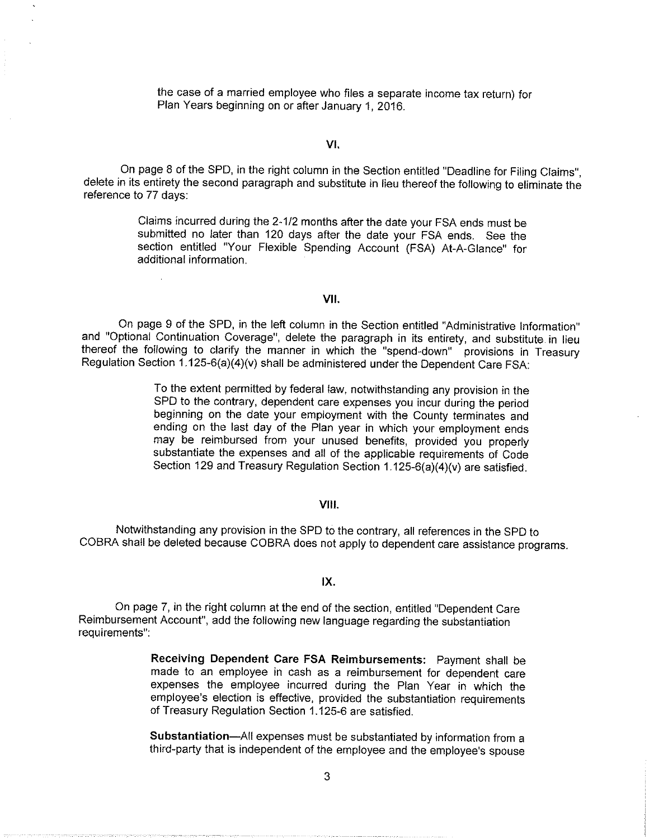the case of a married employee who files a separate income tax return) for Plan Years beginning on or after January 1, 2016.

#### VI.

On page 8 of the SPD, in the right column in the Section entitled "Deadline for Filing Claims", delete in its entirety the second paragraph and substitute in lieu thereof the following to eliminate the reference to 77 days:

> Claims incurred during the 2-1/2 months after the date your FSA ends must be submitted no later than 120 days after the date your FSA ends. See the section entitled "Your Flexible Spending Account (FSA) At-A-Glance" for additional information.

#### VII.

On page 9 of the SPD, in the left column in the Section entitled "Administrative Information" and "Optional Continuation Coverage", delete the paragraph in its entirety, and substitute in lieu thereof the following to clarify the manner in which the "spend-down" provisions in Treasury Regulation Section 1.125-6(a)(4)(v) shall be administered under the Dependent Care FSA:

> To the extent permitted by federal law, notwithstanding any provision in the SPD to the contrary, dependent care expenses you incur during the period beginning on the date your employment with the County terminates and ending on the last day of the Plan year in which your employment ends may be reimbursed from your unused benefits, provided you properly substantiate the expenses and all of the applicable requirements of Code Section 129 and Treasury Regulation Section 1.125-6(a)(4)(v) are satisfied.

#### **VIII.**

Notwithstanding any provision in the SPD to the contrary, all references in the SPD to COBRA shall be deleted because COBRA does not apply to dependent care assistance programs.

#### $IX.$

On page 7, in the right column at the end of the section, entitled "Dependent Care Reimbursement Account", add the following new language regarding the substantiation requirements":

> Receiving Dependent Care FSA Reimbursements: Payment shall be made to an employee in cash as a reimbursement for dependent care expenses the employee incurred during the Plan Year in which the employee's election is effective, provided the substantiation requirements of Treasury Regulation Section 1.125-6 are satisfied.

> Substantiation—All expenses must be substantiated by information from a third-party that is independent of the employee and the employee's spouse